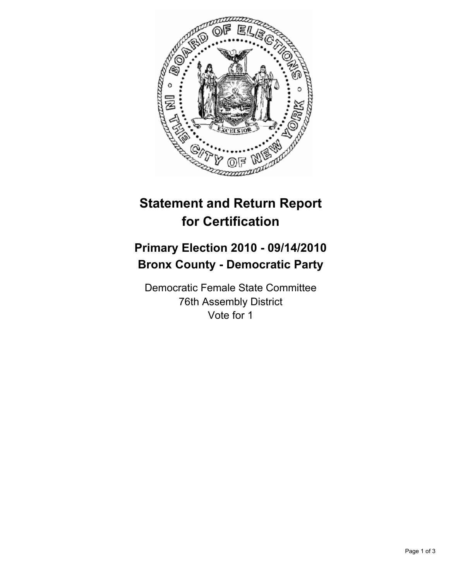

## **Statement and Return Report for Certification**

## **Primary Election 2010 - 09/14/2010 Bronx County - Democratic Party**

Democratic Female State Committee 76th Assembly District Vote for 1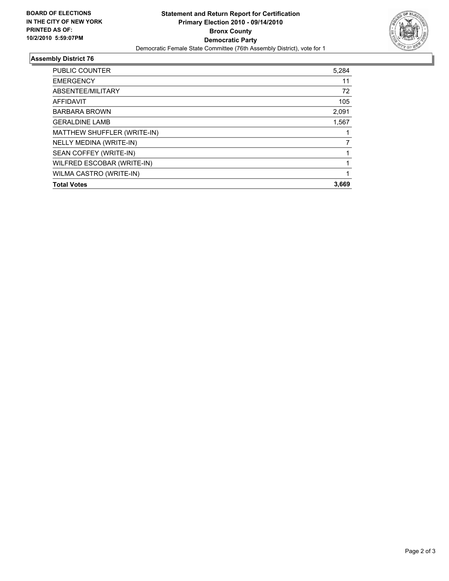

## **Assembly District 76**

| <b>Total Votes</b>          | 3,669 |
|-----------------------------|-------|
| WILMA CASTRO (WRITE-IN)     |       |
| WILFRED ESCOBAR (WRITE-IN)  |       |
|                             |       |
| SEAN COFFEY (WRITE-IN)      |       |
| NELLY MEDINA (WRITE-IN)     |       |
| MATTHEW SHUFFLER (WRITE-IN) |       |
| <b>GERALDINE LAMB</b>       | 1,567 |
| <b>BARBARA BROWN</b>        | 2,091 |
| <b>AFFIDAVIT</b>            | 105   |
| ABSENTEE/MILITARY           | 72    |
| <b>EMERGENCY</b>            | 11    |
| <b>PUBLIC COUNTER</b>       | 5,284 |